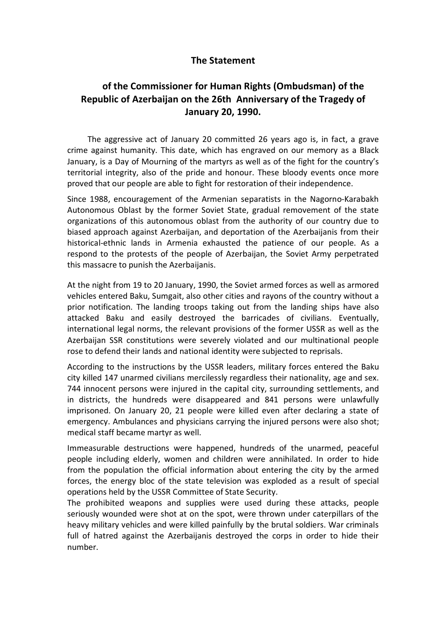## **The Statement**

## **of the Commissioner for Human Rights (Ombudsman) of the Republic of Azerbaijan on the 26th Anniversary of the Tragedy of January 20, 1990.**

The aggressive act of January 20 committed 26 years ago is, in fact, a grave crime against humanity. This date, which has engraved on our memory as a Black January, is a Day of Mourning of the martyrs as well as of the fight for the country's territorial integrity, also of the pride and honour. These bloody events once more proved that our people are able to fight for restoration of their independence.

Since 1988, encouragement of the Armenian separatists in the Nagorno-Karabakh Autonomous Oblast by the former Soviet State, gradual removement of the state organizations of this autonomous oblast from the authority of our country due to biased approach against Azerbaijan, and deportation of the Azerbaijanis from their historical-ethnic lands in Armenia exhausted the patience of our people. As a respond to the protests of the people of Azerbaijan, the Soviet Army perpetrated this massacre to punish the Azerbaijanis.

At the night from 19 to 20 January, 1990, the Soviet armed forces as well as armored vehicles entered Baku, Sumgait, also other cities and rayons of the country without a prior notification. The landing troops taking out from the landing ships have also attacked Baku and easily destroyed the barricades of civilians. Eventually, international legal norms, the relevant provisions of the former USSR as well as the Azerbaijan SSR constitutions were severely violated and our multinational people rose to defend their lands and national identity were subjected to reprisals.

According to the instructions by the USSR leaders, military forces entered the Baku city killed 147 unarmed civilians mercilessly regardless their nationality, age and sex. 744 innocent persons were injured in the capital city, surrounding settlements, and in districts, the hundreds were disappeared and 841 persons were unlawfully imprisoned. On January 20, 21 people were killed even after declaring a state of emergency. Ambulances and physicians carrying the injured persons were also shot; medical staff became martyr as well.

Immeasurable destructions were happened, hundreds of the unarmed, peaceful people including elderly, women and children were annihilated. In order to hide from the population the official information about entering the city by the armed forces, the energy bloc of the state television was exploded as a result of special operations held by the USSR Committee of State Security.

The prohibited weapons and supplies were used during these attacks, people seriously wounded were shot at on the spot, were thrown under caterpillars of the heavy military vehicles and were killed painfully by the brutal soldiers. War criminals full of hatred against the Azerbaijanis destroyed the corps in order to hide their number.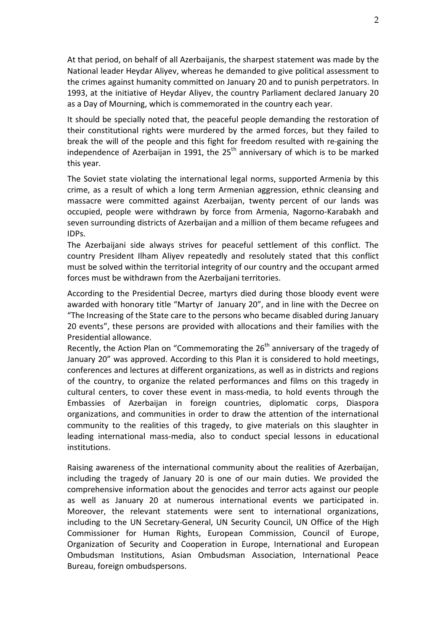At that period, on behalf of all Azerbaijanis, the sharpest statement was made by the National leader Heydar Aliyev, whereas he demanded to give political assessment to the crimes against humanity committed on January 20 and to punish perpetrators. In 1993, at the initiative of Heydar Aliyev, the country Parliament declared January 20 as a Day of Mourning, which is commemorated in the country each year.

It should be specially noted that, the peaceful people demanding the restoration of their constitutional rights were murdered by the armed forces, but they failed to break the will of the people and this fight for freedom resulted with re-gaining the independence of Azerbaijan in 1991, the  $25<sup>th</sup>$  anniversary of which is to be marked this year.

The Soviet state violating the international legal norms, supported Armenia by this crime, as a result of which a long term Armenian aggression, ethnic cleansing and massacre were committed against Azerbaijan, twenty percent of our lands was occupied, people were withdrawn by force from Armenia, Nagorno-Karabakh and seven surrounding districts of Azerbaijan and a million of them became refugees and IDPs.

The Azerbaijani side always strives for peaceful settlement of this conflict. The country President Ilham Aliyev repeatedly and resolutely stated that this conflict must be solved within the territorial integrity of our country and the occupant armed forces must be withdrawn from the Azerbaijani territories.

According to the Presidential Decree, martyrs died during those bloody event were awarded with honorary title "Martyr of January 20", and in line with the Decree on "The Increasing of the State care to the persons who became disabled during January 20 events", these persons are provided with allocations and their families with the Presidential allowance.

Recently, the Action Plan on "Commemorating the 26<sup>th</sup> anniversary of the tragedy of January 20" was approved. According to this Plan it is considered to hold meetings, conferences and lectures at different organizations, as well as in districts and regions of the country, to organize the related performances and films on this tragedy in cultural centers, to cover these event in mass-media, to hold events through the Embassies of Azerbaijan in foreign countries, diplomatic corps, Diaspora organizations, and communities in order to draw the attention of the international community to the realities of this tragedy, to give materials on this slaughter in leading international mass-media, also to conduct special lessons in educational institutions.

Raising awareness of the international community about the realities of Azerbaijan, including the tragedy of January 20 is one of our main duties. We provided the comprehensive information about the genocides and terror acts against our people as well as January 20 at numerous international events we participated in. Moreover, the relevant statements were sent to international organizations, including to the UN Secretary-General, UN Security Council, UN Office of the High Commissioner for Human Rights, European Commission, Council of Europe, Organization of Security and Cooperation in Europe, International and European Ombudsman Institutions, Asian Ombudsman Association, International Peace Bureau, foreign ombudspersons.